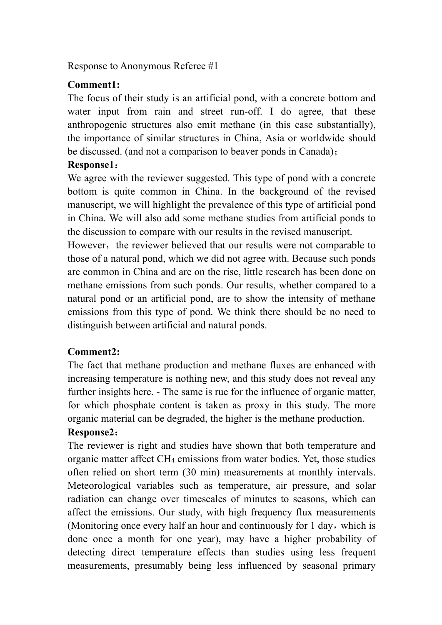Response to Anonymous Referee #1

#### **Comment1:**

The focus of their study is an artificial pond, with a concrete bottom and water input from rain and street run-off. I do agree, that these anthropogenic structures also emit methane (in this case substantially), the importance of similar structures in China, Asia or worldwide should be discussed. (and not a comparison to beaver ponds in Canada);

### **Response1**:

We agree with the reviewer suggested. This type of pond with a concrete bottom is quite common in China. In the background of the revised manuscript, we will highlight the prevalence of this type of artificial pond in China. We will also add some methane studies from artificial ponds to the discussion to compare with our results in the revised manuscript.

However, the reviewer believed that our results were not comparable to those of a natural pond, which we did not agree with. Because such ponds are common in China and are on the rise, little research has been done on methane emissions from such ponds. Our results, whether compared to a natural pond or an artificial pond, are to show the intensity of methane emissions from this type of pond. We think there should be no need to distinguish between artificial and natural ponds.

### **Comment2:**

The fact that methane production and methane fluxes are enhanced with increasing temperature is nothing new, and this study does not reveal any further insights here. - The same is rue for the influence of organic matter, for which phosphate content is taken as proxy in this study. The more organic material can be degraded, the higher is the methane production.

### **Response2**:

The reviewer is right and studies have shown that both temperature and organic matter affect CH4 emissions from water bodies. Yet, those studies often relied on short term (30 min) measurements at monthly intervals. Meteorological variables such as temperature, air pressure, and solar radiation can change over timescales of minutes to seasons, which can affect the emissions. Our study, with high frequency flux measurements (Monitoring once every half an hour and continuously for  $1 \text{ day}$ , which is done once a month for one year), may have a higher probability of detecting direct temperature effects than studies using less frequent measurements, presumably being less influenced by seasonal primary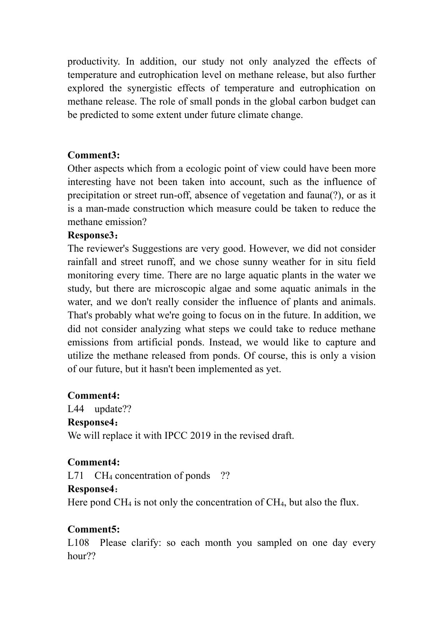productivity. In addition, our study not only analyzed the effects of temperature and eutrophication level on methane release, but also further explored the synergistic effects of temperature and eutrophication on methane release. The role of small ponds in the global carbon budget can be predicted to some extent under future climate change.

### **Comment3:**

Other aspects which from a ecologic point of view could have been more interesting have not been taken into account, such as the influence of precipitation or street run-off, absence of vegetation and fauna(?), or as it is a man-made construction which measure could be taken to reduce the methane emission?

### **Response3**:

The reviewer's Suggestions are very good. However, we did not consider rainfall and street runoff, and we chose sunny weather for in situ field monitoring every time. There are no large aquatic plants in the water we study, but there are microscopic algae and some aquatic animals in the water, and we don't really consider the influence of plants and animals. That's probably what we're going to focus on in the future. In addition, we did not consider analyzing what steps we could take to reduce methane emissions from artificial ponds. Instead, we would like to capture and utilize the methane released from ponds. Of course, this is only a vision of our future, but it hasn't been implemented as yet.

### **Comment4:**

L44 update?? **Response4**: We will replace it with IPCC 2019 in the revised draft.

## **Comment4:**

L71 CH<sub>4</sub> concentration of ponds ??

### **Response4**:

Here pond CH<sub>4</sub> is not only the concentration of CH<sub>4</sub>, but also the flux.

## **Comment5:**

L108 Please clarify: so each month you sampled on one day every hour??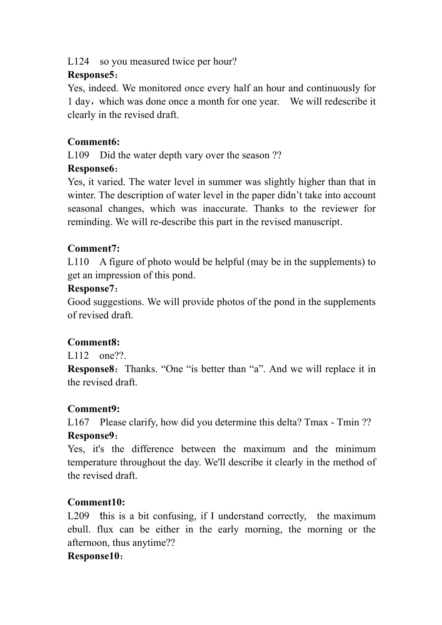L124 so you measured twice per hour?

## **Response5**:

Yes, indeed. We monitored once every half an hour and continuously for 1 day, which was done once a month for one year. We will redescribe it clearly in the revised draft.

# **Comment6:**

L109 Did the water depth vary over the season ??

## **Response6**:

Yes, it varied. The water level in summer was slightly higher than that in winter. The description of water level in the paper didn't take into account seasonal changes, which was inaccurate. Thanks to the reviewer for reminding. We will re-describe this part in the revised manuscript.

# **Comment7:**

L110 A figure of photo would be helpful (may be in the supplements) to get an impression of this pond.

## **Response7**:

Good suggestions. We will provide photos of the pond in the supplements of revised draft.

# **Comment8:**

L<sub>112</sub> one??.

**Response8:** Thanks. "One "is better than "a". And we will replace it in the revised draft.

# **Comment9:**

L167 Please clarify, how did you determine this delta? Tmax - Tmin ?? **Response9**:

Yes, it's the difference between the maximum and the minimum temperature throughout the day. We'll describe it clearly in the method of the revised draft.

# **Comment10:**

L209 this is a bit confusing, if I understand correctly, the maximum ebull. flux can be either in the early morning, the morning or the afternoon, thus anytime??

## **Response10**: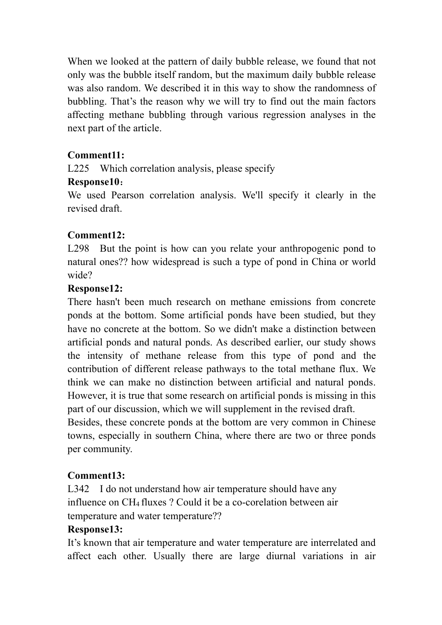When we looked at the pattern of daily bubble release, we found that not only was the bubble itself random, but the maximum daily bubble release was also random. We described it in this way to show the randomness of bubbling. That's the reason why we will try to find out the main factors affecting methane bubbling through various regression analyses in the next part of the article.

### **Comment11:**

L225 Which correlation analysis, please specify

### **Response10**:

We used Pearson correlation analysis. We'll specify it clearly in the revised draft.

## **Comment12:**

L298 But the point is how can you relate your anthropogenic pond to natural ones?? how widespread is such a type of pond in China or world wide?

### **Response12:**

There hasn't been much research on methane emissions from concrete ponds at the bottom. Some artificial ponds have been studied, but they have no concrete at the bottom. So we didn't make a distinction between artificial ponds and natural ponds. As described earlier, our study shows the intensity of methane release from this type of pond and the contribution of different release pathways to the total methane flux. We think we can make no distinction between artificial and natural ponds. However, it is true that some research on artificial ponds is missing in this part of our discussion, which we will supplement in the revised draft.

Besides, these concrete ponds at the bottom are very common in Chinese towns, especially in southern China, where there are two or three ponds per community.

## **Comment13:**

L342 I do not understand how air temperature should have any influence on CH4 fluxes ? Could it be a co-corelation between air temperature and water temperature??

### **Response13:**

It's known that air temperature and water temperature are interrelated and affect each other. Usually there are large diurnal variations in air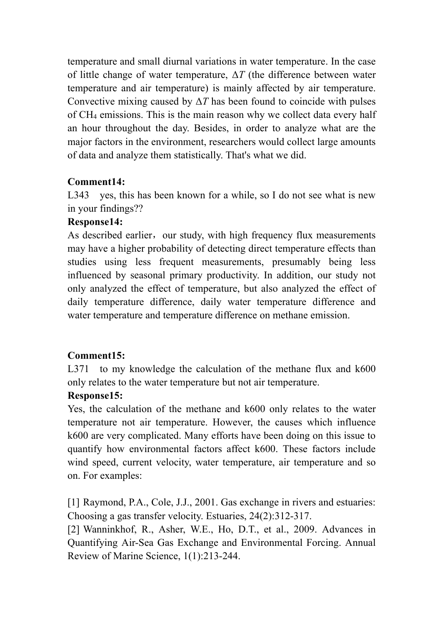temperature and small diurnal variations in water temperature. In the case of little change of water temperature, Δ*T* (the difference between water temperature and air temperature) is mainly affected by air temperature. Convective mixing caused by  $\Delta T$  has been found to coincide with pulses of CH4 emissions. This is the main reason why we collect data every half an hour throughout the day. Besides, in order to analyze what are the major factors in the environment, researchers would collect large amounts of data and analyze them statistically. That's what we did.

### **Comment14:**

L343 yes, this has been known for a while, so I do not see what is new in your findings??

### **Response14:**

As described earlier, our study, with high frequency flux measurements may have a higher probability of detecting direct temperature effects than studies using less frequent measurements, presumably being less influenced by seasonal primary productivity. In addition, our study not only analyzed the effect of temperature, but also analyzed the effect of daily temperature difference, daily water temperature difference and water temperature and temperature difference on methane emission.

## **Comment15:**

L371 to my knowledge the calculation of the methane flux and k600 only relates to the water temperature but not air temperature.

### **Response15:**

Yes, the calculation of the methane and k600 only relates to the water temperature not air temperature. However, the causes which influence k600 are very complicated. Many efforts have been doing on this issue to quantify how environmental factors affect k600. These factors include wind speed, current velocity, water temperature, air temperature and so on. For examples:

[1] Raymond, P.A., Cole, J.J., 2001. Gas exchange in rivers and estuaries: Choosing a gas transfer velocity. Estuaries, 24(2):312-317.

[2] Wanninkhof, R., Asher, W.E., Ho, D.T., et al., 2009. Advances in Quantifying Air-Sea Gas Exchange and Environmental Forcing. Annual Review of Marine Science, 1(1):213-244.